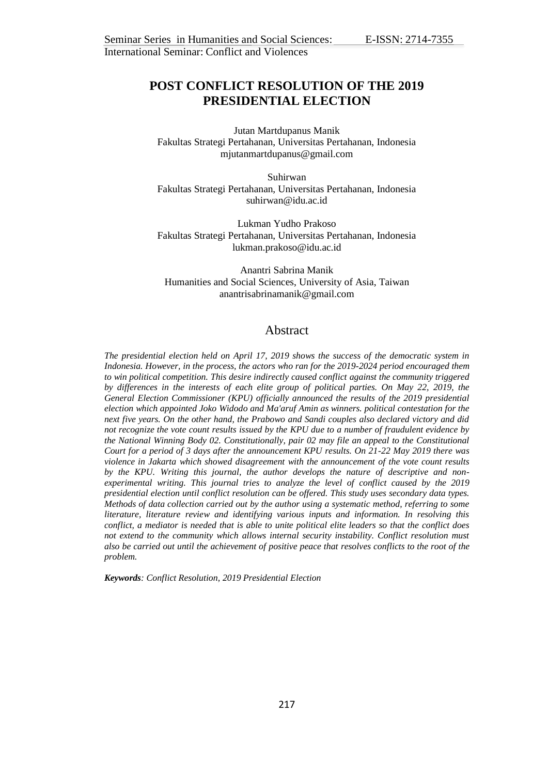# **POST CONFLICT RESOLUTION OF THE 2019 PRESIDENTIAL ELECTION**

Jutan Martdupanus Manik Fakultas Strategi Pertahanan, Universitas Pertahanan, Indonesia mjutanmartdupanus@gmail.com

Suhirwan Fakultas Strategi Pertahanan, Universitas Pertahanan, Indonesia [suhirwan@idu.ac.id](mailto:suhirwan@idu.ac.id)

Lukman Yudho Prakoso Fakultas Strategi Pertahanan, Universitas Pertahanan, Indonesia [lukman.prakoso@idu.ac.id](mailto:lukman.prakoso@idu.ac.id)

Anantri Sabrina Manik Humanities and Social Sciences, University of Asia, Taiwan [anantrisabrinamanik@g](mailto:anantrisabrinamanik@)mail.com

# Abstract

*The presidential election held on April 17, 2019 shows the success of the democratic system in Indonesia. However, in the process, the actors who ran for the 2019-2024 period encouraged them to win political competition. This desire indirectly caused conflict against the community triggered by differences in the interests of each elite group of political parties. On May 22, 2019, the General Election Commissioner (KPU) officially announced the results of the 2019 presidential election which appointed Joko Widodo and Ma'aruf Amin as winners. political contestation for the next five years. On the other hand, the Prabowo and Sandi couples also declared victory and did not recognize the vote count results issued by the KPU due to a number of fraudulent evidence by the National Winning Body 02. Constitutionally, pair 02 may file an appeal to the Constitutional Court for a period of 3 days after the announcement KPU results. On 21-22 May 2019 there was violence in Jakarta which showed disagreement with the announcement of the vote count results by the KPU. Writing this journal, the author develops the nature of descriptive and nonexperimental writing. This journal tries to analyze the level of conflict caused by the 2019 presidential election until conflict resolution can be offered. This study uses secondary data types. Methods of data collection carried out by the author using a systematic method, referring to some literature, literature review and identifying various inputs and information. In resolving this conflict, a mediator is needed that is able to unite political elite leaders so that the conflict does not extend to the community which allows internal security instability. Conflict resolution must also be carried out until the achievement of positive peace that resolves conflicts to the root of the problem.*

*Keywords: Conflict Resolution, 2019 Presidential Election*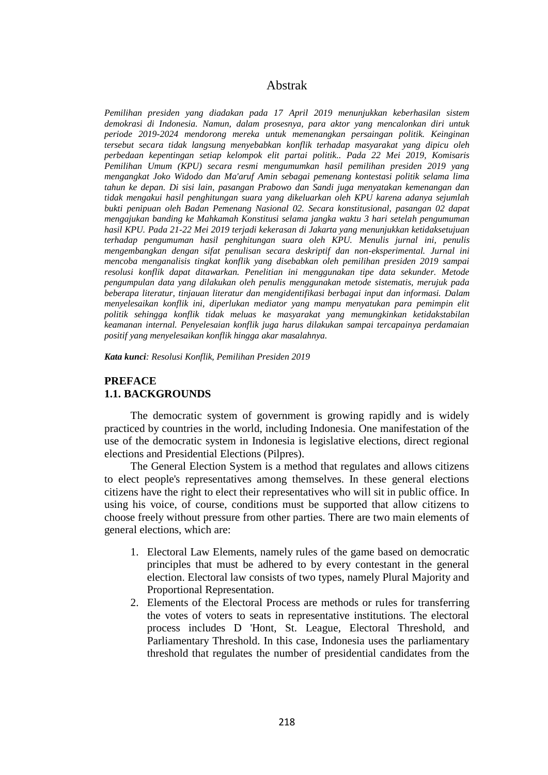# Abstrak

*Pemilihan presiden yang diadakan pada 17 April 2019 menunjukkan keberhasilan sistem demokrasi di Indonesia. Namun, dalam prosesnya, para aktor yang mencalonkan diri untuk periode 2019-2024 mendorong mereka untuk memenangkan persaingan politik. Keinginan tersebut secara tidak langsung menyebabkan konflik terhadap masyarakat yang dipicu oleh perbedaan kepentingan setiap kelompok elit partai politik.. Pada 22 Mei 2019, Komisaris Pemilihan Umum (KPU) secara resmi mengumumkan hasil pemilihan presiden 2019 yang mengangkat Joko Widodo dan Ma'aruf Amin sebagai pemenang kontestasi politik selama lima tahun ke depan. Di sisi lain, pasangan Prabowo dan Sandi juga menyatakan kemenangan dan tidak mengakui hasil penghitungan suara yang dikeluarkan oleh KPU karena adanya sejumlah bukti penipuan oleh Badan Pemenang Nasional 02. Secara konstitusional, pasangan 02 dapat mengajukan banding ke Mahkamah Konstitusi selama jangka waktu 3 hari setelah pengumuman hasil KPU. Pada 21-22 Mei 2019 terjadi kekerasan di Jakarta yang menunjukkan ketidaksetujuan terhadap pengumuman hasil penghitungan suara oleh KPU. Menulis jurnal ini, penulis mengembangkan dengan sifat penulisan secara deskriptif dan non-eksperimental. Jurnal ini mencoba menganalisis tingkat konflik yang disebabkan oleh pemilihan presiden 2019 sampai resolusi konflik dapat ditawarkan. Penelitian ini menggunakan tipe data sekunder. Metode pengumpulan data yang dilakukan oleh penulis menggunakan metode sistematis, merujuk pada beberapa literatur, tinjauan literatur dan mengidentifikasi berbagai input dan informasi. Dalam menyelesaikan konflik ini, diperlukan mediator yang mampu menyatukan para pemimpin elit politik sehingga konflik tidak meluas ke masyarakat yang memungkinkan ketidakstabilan keamanan internal. Penyelesaian konflik juga harus dilakukan sampai tercapainya perdamaian positif yang menyelesaikan konflik hingga akar masalahnya.* 

*Kata kunci: Resolusi Konflik, Pemilihan Presiden 2019*

# **PREFACE 1.1. BACKGROUNDS**

The democratic system of government is growing rapidly and is widely practiced by countries in the world, including Indonesia. One manifestation of the use of the democratic system in Indonesia is legislative elections, direct regional elections and Presidential Elections (Pilpres).

The General Election System is a method that regulates and allows citizens to elect people's representatives among themselves. In these general elections citizens have the right to elect their representatives who will sit in public office. In using his voice, of course, conditions must be supported that allow citizens to choose freely without pressure from other parties. There are two main elements of general elections, which are:

- 1. Electoral Law Elements, namely rules of the game based on democratic principles that must be adhered to by every contestant in the general election. Electoral law consists of two types, namely Plural Majority and Proportional Representation.
- 2. Elements of the Electoral Process are methods or rules for transferring the votes of voters to seats in representative institutions. The electoral process includes D 'Hont, St. League, Electoral Threshold, and Parliamentary Threshold. In this case, Indonesia uses the parliamentary threshold that regulates the number of presidential candidates from the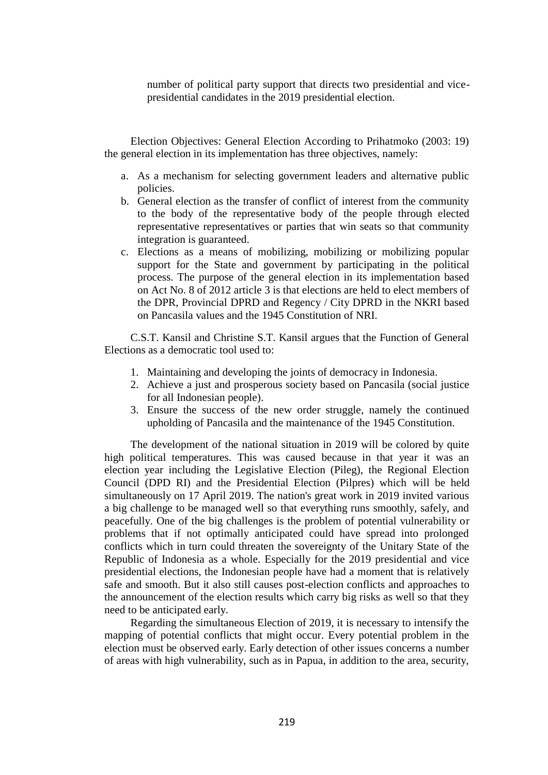number of political party support that directs two presidential and vicepresidential candidates in the 2019 presidential election.

Election Objectives: General Election According to Prihatmoko (2003: 19) the general election in its implementation has three objectives, namely:

- a. As a mechanism for selecting government leaders and alternative public policies.
- b. General election as the transfer of conflict of interest from the community to the body of the representative body of the people through elected representative representatives or parties that win seats so that community integration is guaranteed.
- c. Elections as a means of mobilizing, mobilizing or mobilizing popular support for the State and government by participating in the political process. The purpose of the general election in its implementation based on Act No. 8 of 2012 article 3 is that elections are held to elect members of the DPR, Provincial DPRD and Regency / City DPRD in the NKRI based on Pancasila values and the 1945 Constitution of NRI.

C.S.T. Kansil and Christine S.T. Kansil argues that the Function of General Elections as a democratic tool used to:

- 1. Maintaining and developing the joints of democracy in Indonesia.
- 2. Achieve a just and prosperous society based on Pancasila (social justice for all Indonesian people).
- 3. Ensure the success of the new order struggle, namely the continued upholding of Pancasila and the maintenance of the 1945 Constitution.

The development of the national situation in 2019 will be colored by quite high political temperatures. This was caused because in that year it was an election year including the Legislative Election (Pileg), the Regional Election Council (DPD RI) and the Presidential Election (Pilpres) which will be held simultaneously on 17 April 2019. The nation's great work in 2019 invited various a big challenge to be managed well so that everything runs smoothly, safely, and peacefully. One of the big challenges is the problem of potential vulnerability or problems that if not optimally anticipated could have spread into prolonged conflicts which in turn could threaten the sovereignty of the Unitary State of the Republic of Indonesia as a whole. Especially for the 2019 presidential and vice presidential elections, the Indonesian people have had a moment that is relatively safe and smooth. But it also still causes post-election conflicts and approaches to the announcement of the election results which carry big risks as well so that they need to be anticipated early.

Regarding the simultaneous Election of 2019, it is necessary to intensify the mapping of potential conflicts that might occur. Every potential problem in the election must be observed early. Early detection of other issues concerns a number of areas with high vulnerability, such as in Papua, in addition to the area, security,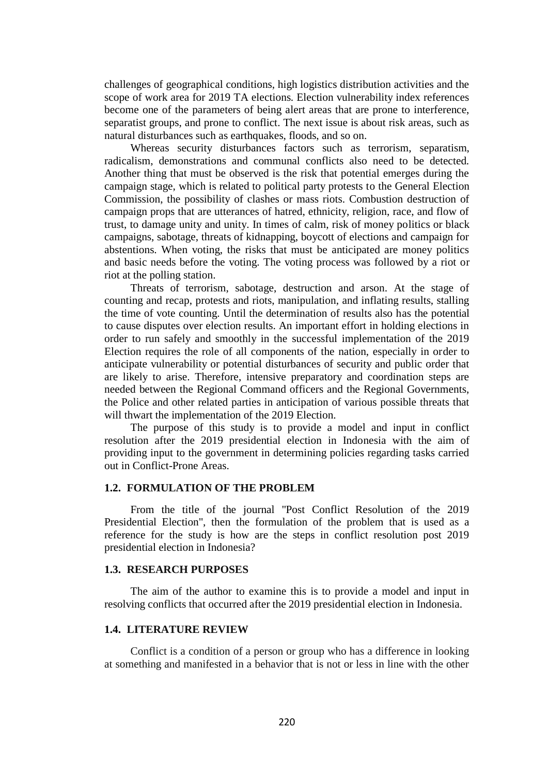challenges of geographical conditions, high logistics distribution activities and the scope of work area for 2019 TA elections. Election vulnerability index references become one of the parameters of being alert areas that are prone to interference, separatist groups, and prone to conflict. The next issue is about risk areas, such as natural disturbances such as earthquakes, floods, and so on.

Whereas security disturbances factors such as terrorism, separatism, radicalism, demonstrations and communal conflicts also need to be detected. Another thing that must be observed is the risk that potential emerges during the campaign stage, which is related to political party protests to the General Election Commission, the possibility of clashes or mass riots. Combustion destruction of campaign props that are utterances of hatred, ethnicity, religion, race, and flow of trust, to damage unity and unity. In times of calm, risk of money politics or black campaigns, sabotage, threats of kidnapping, boycott of elections and campaign for abstentions. When voting, the risks that must be anticipated are money politics and basic needs before the voting. The voting process was followed by a riot or riot at the polling station.

Threats of terrorism, sabotage, destruction and arson. At the stage of counting and recap, protests and riots, manipulation, and inflating results, stalling the time of vote counting. Until the determination of results also has the potential to cause disputes over election results. An important effort in holding elections in order to run safely and smoothly in the successful implementation of the 2019 Election requires the role of all components of the nation, especially in order to anticipate vulnerability or potential disturbances of security and public order that are likely to arise. Therefore, intensive preparatory and coordination steps are needed between the Regional Command officers and the Regional Governments, the Police and other related parties in anticipation of various possible threats that will thwart the implementation of the 2019 Election.

The purpose of this study is to provide a model and input in conflict resolution after the 2019 presidential election in Indonesia with the aim of providing input to the government in determining policies regarding tasks carried out in Conflict-Prone Areas.

### **1.2. FORMULATION OF THE PROBLEM**

From the title of the journal "Post Conflict Resolution of the 2019 Presidential Election", then the formulation of the problem that is used as a reference for the study is how are the steps in conflict resolution post 2019 presidential election in Indonesia?

## **1.3. RESEARCH PURPOSES**

The aim of the author to examine this is to provide a model and input in resolving conflicts that occurred after the 2019 presidential election in Indonesia.

## **1.4. LITERATURE REVIEW**

Conflict is a condition of a person or group who has a difference in looking at something and manifested in a behavior that is not or less in line with the other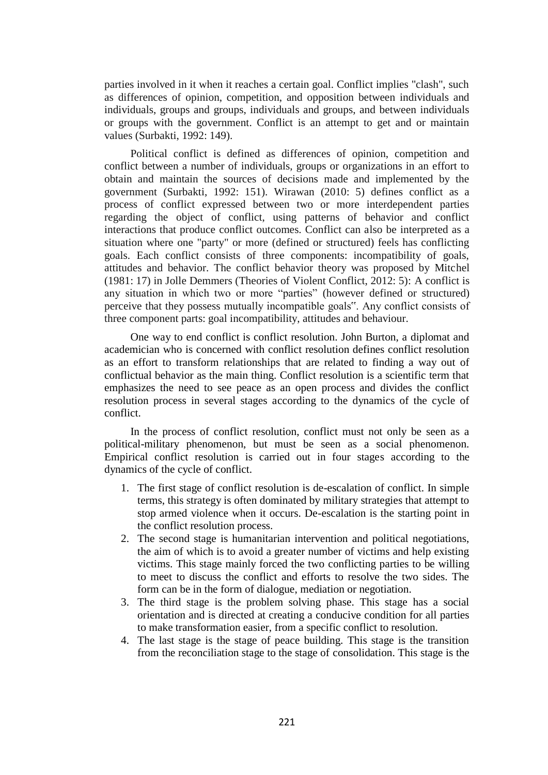parties involved in it when it reaches a certain goal. Conflict implies "clash", such as differences of opinion, competition, and opposition between individuals and individuals, groups and groups, individuals and groups, and between individuals or groups with the government. Conflict is an attempt to get and or maintain values (Surbakti, 1992: 149).

Political conflict is defined as differences of opinion, competition and conflict between a number of individuals, groups or organizations in an effort to obtain and maintain the sources of decisions made and implemented by the government (Surbakti, 1992: 151). Wirawan (2010: 5) defines conflict as a process of conflict expressed between two or more interdependent parties regarding the object of conflict, using patterns of behavior and conflict interactions that produce conflict outcomes. Conflict can also be interpreted as a situation where one "party" or more (defined or structured) feels has conflicting goals. Each conflict consists of three components: incompatibility of goals, attitudes and behavior. The conflict behavior theory was proposed by Mitchel (1981: 17) in Jolle Demmers (Theories of Violent Conflict, 2012: 5): A conflict is any situation in which two or more "parties" (however defined or structured) perceive that they possess mutually incompatible goals". Any conflict consists of three component parts: goal incompatibility, attitudes and behaviour.

One way to end conflict is conflict resolution. John Burton, a diplomat and academician who is concerned with conflict resolution defines conflict resolution as an effort to transform relationships that are related to finding a way out of conflictual behavior as the main thing. Conflict resolution is a scientific term that emphasizes the need to see peace as an open process and divides the conflict resolution process in several stages according to the dynamics of the cycle of conflict.

In the process of conflict resolution, conflict must not only be seen as a political-military phenomenon, but must be seen as a social phenomenon. Empirical conflict resolution is carried out in four stages according to the dynamics of the cycle of conflict.

- 1. The first stage of conflict resolution is de-escalation of conflict. In simple terms, this strategy is often dominated by military strategies that attempt to stop armed violence when it occurs. De-escalation is the starting point in the conflict resolution process.
- 2. The second stage is humanitarian intervention and political negotiations, the aim of which is to avoid a greater number of victims and help existing victims. This stage mainly forced the two conflicting parties to be willing to meet to discuss the conflict and efforts to resolve the two sides. The form can be in the form of dialogue, mediation or negotiation.
- 3. The third stage is the problem solving phase. This stage has a social orientation and is directed at creating a conducive condition for all parties to make transformation easier, from a specific conflict to resolution.
- 4. The last stage is the stage of peace building. This stage is the transition from the reconciliation stage to the stage of consolidation. This stage is the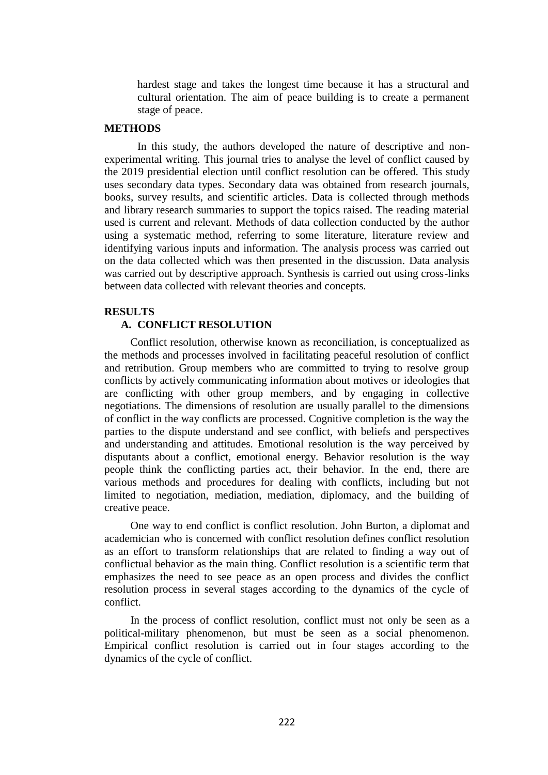hardest stage and takes the longest time because it has a structural and cultural orientation. The aim of peace building is to create a permanent stage of peace.

## **METHODS**

In this study, the authors developed the nature of descriptive and nonexperimental writing. This journal tries to analyse the level of conflict caused by the 2019 presidential election until conflict resolution can be offered. This study uses secondary data types. Secondary data was obtained from research journals, books, survey results, and scientific articles. Data is collected through methods and library research summaries to support the topics raised. The reading material used is current and relevant. Methods of data collection conducted by the author using a systematic method, referring to some literature, literature review and identifying various inputs and information. The analysis process was carried out on the data collected which was then presented in the discussion. Data analysis was carried out by descriptive approach. Synthesis is carried out using cross-links between data collected with relevant theories and concepts.

### **RESULTS**

## **A. CONFLICT RESOLUTION**

Conflict resolution, otherwise known as reconciliation, is conceptualized as the methods and processes involved in facilitating peaceful resolution of conflict and retribution. Group members who are committed to trying to resolve group conflicts by actively communicating information about motives or ideologies that are conflicting with other group members, and by engaging in collective negotiations. The dimensions of resolution are usually parallel to the dimensions of conflict in the way conflicts are processed. Cognitive completion is the way the parties to the dispute understand and see conflict, with beliefs and perspectives and understanding and attitudes. Emotional resolution is the way perceived by disputants about a conflict, emotional energy. Behavior resolution is the way people think the conflicting parties act, their behavior. In the end, there are various methods and procedures for dealing with conflicts, including but not limited to negotiation, mediation, mediation, diplomacy, and the building of creative peace.

One way to end conflict is conflict resolution. John Burton, a diplomat and academician who is concerned with conflict resolution defines conflict resolution as an effort to transform relationships that are related to finding a way out of conflictual behavior as the main thing. Conflict resolution is a scientific term that emphasizes the need to see peace as an open process and divides the conflict resolution process in several stages according to the dynamics of the cycle of conflict.

In the process of conflict resolution, conflict must not only be seen as a political-military phenomenon, but must be seen as a social phenomenon. Empirical conflict resolution is carried out in four stages according to the dynamics of the cycle of conflict.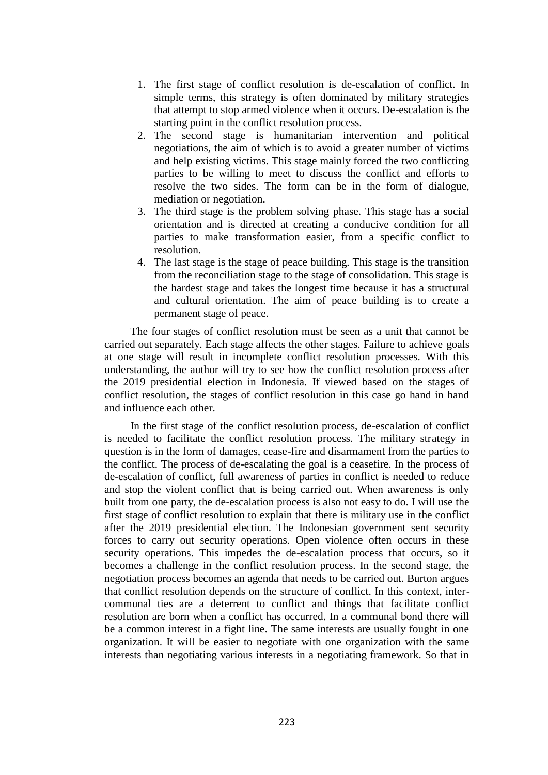- 1. The first stage of conflict resolution is de-escalation of conflict. In simple terms, this strategy is often dominated by military strategies that attempt to stop armed violence when it occurs. De-escalation is the starting point in the conflict resolution process.
- 2. The second stage is humanitarian intervention and political negotiations, the aim of which is to avoid a greater number of victims and help existing victims. This stage mainly forced the two conflicting parties to be willing to meet to discuss the conflict and efforts to resolve the two sides. The form can be in the form of dialogue, mediation or negotiation.
- 3. The third stage is the problem solving phase. This stage has a social orientation and is directed at creating a conducive condition for all parties to make transformation easier, from a specific conflict to resolution.
- 4. The last stage is the stage of peace building. This stage is the transition from the reconciliation stage to the stage of consolidation. This stage is the hardest stage and takes the longest time because it has a structural and cultural orientation. The aim of peace building is to create a permanent stage of peace.

The four stages of conflict resolution must be seen as a unit that cannot be carried out separately. Each stage affects the other stages. Failure to achieve goals at one stage will result in incomplete conflict resolution processes. With this understanding, the author will try to see how the conflict resolution process after the 2019 presidential election in Indonesia. If viewed based on the stages of conflict resolution, the stages of conflict resolution in this case go hand in hand and influence each other.

In the first stage of the conflict resolution process, de-escalation of conflict is needed to facilitate the conflict resolution process. The military strategy in question is in the form of damages, cease-fire and disarmament from the parties to the conflict. The process of de-escalating the goal is a ceasefire. In the process of de-escalation of conflict, full awareness of parties in conflict is needed to reduce and stop the violent conflict that is being carried out. When awareness is only built from one party, the de-escalation process is also not easy to do. I will use the first stage of conflict resolution to explain that there is military use in the conflict after the 2019 presidential election. The Indonesian government sent security forces to carry out security operations. Open violence often occurs in these security operations. This impedes the de-escalation process that occurs, so it becomes a challenge in the conflict resolution process. In the second stage, the negotiation process becomes an agenda that needs to be carried out. Burton argues that conflict resolution depends on the structure of conflict. In this context, intercommunal ties are a deterrent to conflict and things that facilitate conflict resolution are born when a conflict has occurred. In a communal bond there will be a common interest in a fight line. The same interests are usually fought in one organization. It will be easier to negotiate with one organization with the same interests than negotiating various interests in a negotiating framework. So that in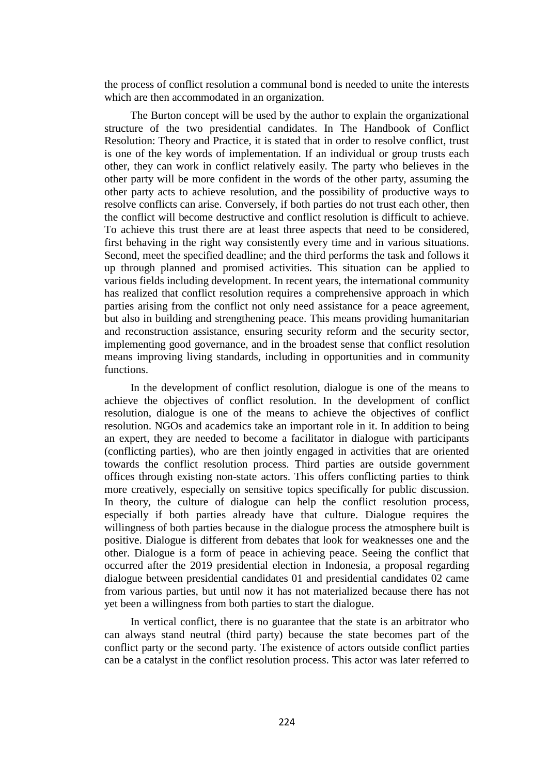the process of conflict resolution a communal bond is needed to unite the interests which are then accommodated in an organization.

The Burton concept will be used by the author to explain the organizational structure of the two presidential candidates. In The Handbook of Conflict Resolution: Theory and Practice, it is stated that in order to resolve conflict, trust is one of the key words of implementation. If an individual or group trusts each other, they can work in conflict relatively easily. The party who believes in the other party will be more confident in the words of the other party, assuming the other party acts to achieve resolution, and the possibility of productive ways to resolve conflicts can arise. Conversely, if both parties do not trust each other, then the conflict will become destructive and conflict resolution is difficult to achieve. To achieve this trust there are at least three aspects that need to be considered, first behaving in the right way consistently every time and in various situations. Second, meet the specified deadline; and the third performs the task and follows it up through planned and promised activities. This situation can be applied to various fields including development. In recent years, the international community has realized that conflict resolution requires a comprehensive approach in which parties arising from the conflict not only need assistance for a peace agreement, but also in building and strengthening peace. This means providing humanitarian and reconstruction assistance, ensuring security reform and the security sector, implementing good governance, and in the broadest sense that conflict resolution means improving living standards, including in opportunities and in community functions.

In the development of conflict resolution, dialogue is one of the means to achieve the objectives of conflict resolution. In the development of conflict resolution, dialogue is one of the means to achieve the objectives of conflict resolution. NGOs and academics take an important role in it. In addition to being an expert, they are needed to become a facilitator in dialogue with participants (conflicting parties), who are then jointly engaged in activities that are oriented towards the conflict resolution process. Third parties are outside government offices through existing non-state actors. This offers conflicting parties to think more creatively, especially on sensitive topics specifically for public discussion. In theory, the culture of dialogue can help the conflict resolution process, especially if both parties already have that culture. Dialogue requires the willingness of both parties because in the dialogue process the atmosphere built is positive. Dialogue is different from debates that look for weaknesses one and the other. Dialogue is a form of peace in achieving peace. Seeing the conflict that occurred after the 2019 presidential election in Indonesia, a proposal regarding dialogue between presidential candidates 01 and presidential candidates 02 came from various parties, but until now it has not materialized because there has not yet been a willingness from both parties to start the dialogue.

In vertical conflict, there is no guarantee that the state is an arbitrator who can always stand neutral (third party) because the state becomes part of the conflict party or the second party. The existence of actors outside conflict parties can be a catalyst in the conflict resolution process. This actor was later referred to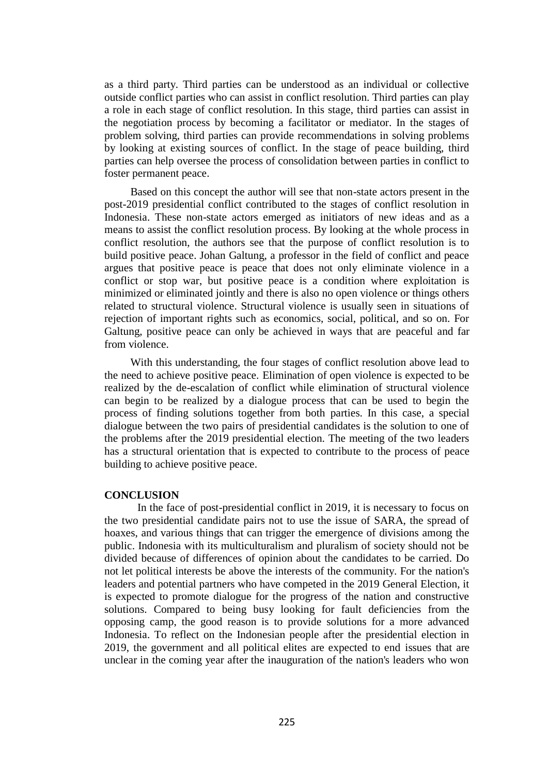as a third party. Third parties can be understood as an individual or collective outside conflict parties who can assist in conflict resolution. Third parties can play a role in each stage of conflict resolution. In this stage, third parties can assist in the negotiation process by becoming a facilitator or mediator. In the stages of problem solving, third parties can provide recommendations in solving problems by looking at existing sources of conflict. In the stage of peace building, third parties can help oversee the process of consolidation between parties in conflict to foster permanent peace.

Based on this concept the author will see that non-state actors present in the post-2019 presidential conflict contributed to the stages of conflict resolution in Indonesia. These non-state actors emerged as initiators of new ideas and as a means to assist the conflict resolution process. By looking at the whole process in conflict resolution, the authors see that the purpose of conflict resolution is to build positive peace. Johan Galtung, a professor in the field of conflict and peace argues that positive peace is peace that does not only eliminate violence in a conflict or stop war, but positive peace is a condition where exploitation is minimized or eliminated jointly and there is also no open violence or things others related to structural violence. Structural violence is usually seen in situations of rejection of important rights such as economics, social, political, and so on. For Galtung, positive peace can only be achieved in ways that are peaceful and far from violence.

With this understanding, the four stages of conflict resolution above lead to the need to achieve positive peace. Elimination of open violence is expected to be realized by the de-escalation of conflict while elimination of structural violence can begin to be realized by a dialogue process that can be used to begin the process of finding solutions together from both parties. In this case, a special dialogue between the two pairs of presidential candidates is the solution to one of the problems after the 2019 presidential election. The meeting of the two leaders has a structural orientation that is expected to contribute to the process of peace building to achieve positive peace.

### **CONCLUSION**

In the face of post-presidential conflict in 2019, it is necessary to focus on the two presidential candidate pairs not to use the issue of SARA, the spread of hoaxes, and various things that can trigger the emergence of divisions among the public. Indonesia with its multiculturalism and pluralism of society should not be divided because of differences of opinion about the candidates to be carried. Do not let political interests be above the interests of the community. For the nation's leaders and potential partners who have competed in the 2019 General Election, it is expected to promote dialogue for the progress of the nation and constructive solutions. Compared to being busy looking for fault deficiencies from the opposing camp, the good reason is to provide solutions for a more advanced Indonesia. To reflect on the Indonesian people after the presidential election in 2019, the government and all political elites are expected to end issues that are unclear in the coming year after the inauguration of the nation's leaders who won